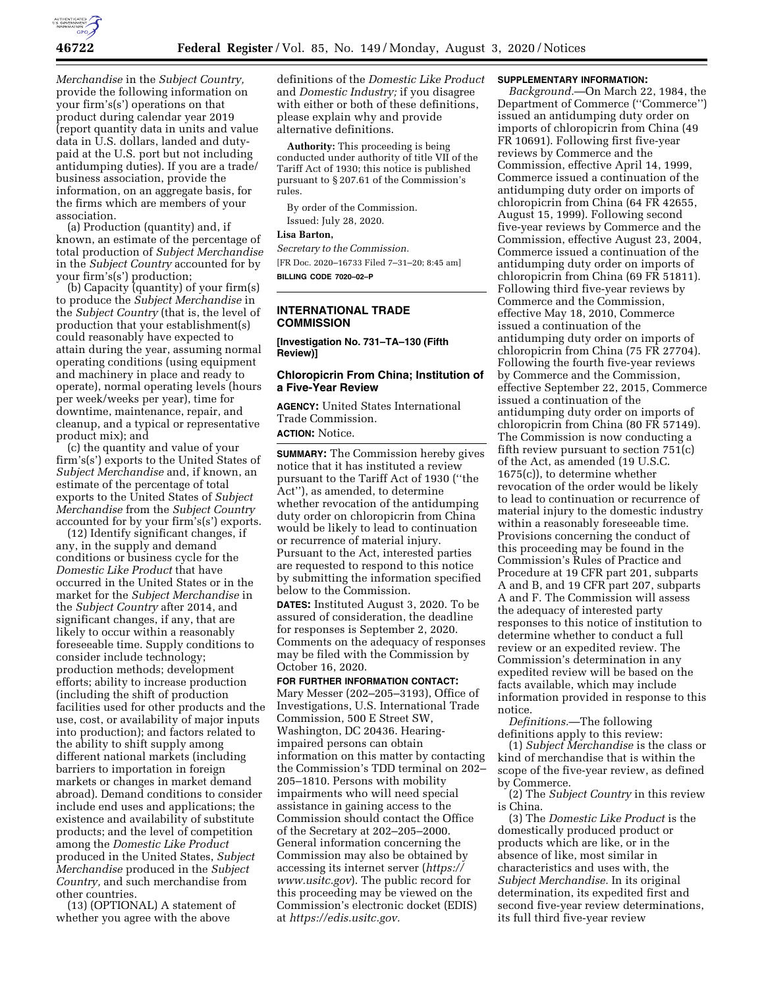

*Merchandise* in the *Subject Country,*  provide the following information on your firm's(s') operations on that product during calendar year 2019 (report quantity data in units and value data in U.S. dollars, landed and dutypaid at the U.S. port but not including antidumping duties). If you are a trade/ business association, provide the information, on an aggregate basis, for the firms which are members of your association.

(a) Production (quantity) and, if known, an estimate of the percentage of total production of *Subject Merchandise*  in the *Subject Country* accounted for by your firm's(s') production;

(b) Capacity (quantity) of your firm(s) to produce the *Subject Merchandise* in the *Subject Country* (that is, the level of production that your establishment(s) could reasonably have expected to attain during the year, assuming normal operating conditions (using equipment and machinery in place and ready to operate), normal operating levels (hours per week/weeks per year), time for downtime, maintenance, repair, and cleanup, and a typical or representative product mix); and

(c) the quantity and value of your firm's(s') exports to the United States of *Subject Merchandise* and, if known, an estimate of the percentage of total exports to the United States of *Subject Merchandise* from the *Subject Country*  accounted for by your firm's(s') exports.

(12) Identify significant changes, if any, in the supply and demand conditions or business cycle for the *Domestic Like Product* that have occurred in the United States or in the market for the *Subject Merchandise* in the *Subject Country* after 2014, and significant changes, if any, that are likely to occur within a reasonably foreseeable time. Supply conditions to consider include technology; production methods; development efforts; ability to increase production (including the shift of production facilities used for other products and the use, cost, or availability of major inputs into production); and factors related to the ability to shift supply among different national markets (including barriers to importation in foreign markets or changes in market demand abroad). Demand conditions to consider include end uses and applications; the existence and availability of substitute products; and the level of competition among the *Domestic Like Product*  produced in the United States, *Subject Merchandise* produced in the *Subject Country,* and such merchandise from other countries.

(13) (OPTIONAL) A statement of whether you agree with the above

definitions of the *Domestic Like Product*  and *Domestic Industry;* if you disagree with either or both of these definitions, please explain why and provide alternative definitions.

**Authority:** This proceeding is being conducted under authority of title VII of the Tariff Act of 1930; this notice is published pursuant to § 207.61 of the Commission's rules.

By order of the Commission. Issued: July 28, 2020.

**Lisa Barton,** 

*Secretary to the Commission.* 

[FR Doc. 2020–16733 Filed 7–31–20; 8:45 am] **BILLING CODE 7020–02–P** 

# **INTERNATIONAL TRADE COMMISSION**

**[Investigation No. 731–TA–130 (Fifth Review)]** 

## **Chloropicrin From China; Institution of a Five-Year Review**

**AGENCY:** United States International Trade Commission. **ACTION:** Notice.

**SUMMARY:** The Commission hereby gives notice that it has instituted a review pursuant to the Tariff Act of 1930 (''the Act''), as amended, to determine whether revocation of the antidumping duty order on chloropicrin from China would be likely to lead to continuation or recurrence of material injury. Pursuant to the Act, interested parties are requested to respond to this notice by submitting the information specified below to the Commission.

**DATES:** Instituted August 3, 2020. To be assured of consideration, the deadline for responses is September 2, 2020. Comments on the adequacy of responses may be filed with the Commission by October 16, 2020.

#### **FOR FURTHER INFORMATION CONTACT:**

Mary Messer (202–205–3193), Office of Investigations, U.S. International Trade Commission, 500 E Street SW, Washington, DC 20436. Hearingimpaired persons can obtain information on this matter by contacting the Commission's TDD terminal on 202– 205–1810. Persons with mobility impairments who will need special assistance in gaining access to the Commission should contact the Office of the Secretary at 202–205–2000. General information concerning the Commission may also be obtained by accessing its internet server (*[https://](https://www.usitc.gov) [www.usitc.gov](https://www.usitc.gov)*). The public record for this proceeding may be viewed on the Commission's electronic docket (EDIS) at *[https://edis.usitc.gov.](https://edis.usitc.gov)* 

### **SUPPLEMENTARY INFORMATION:**

*Background.*—On March 22, 1984, the Department of Commerce (''Commerce'') issued an antidumping duty order on imports of chloropicrin from China (49 FR 10691). Following first five-year reviews by Commerce and the Commission, effective April 14, 1999, Commerce issued a continuation of the antidumping duty order on imports of chloropicrin from China (64 FR 42655, August 15, 1999). Following second five-year reviews by Commerce and the Commission, effective August 23, 2004, Commerce issued a continuation of the antidumping duty order on imports of chloropicrin from China (69 FR 51811). Following third five-year reviews by Commerce and the Commission, effective May 18, 2010, Commerce issued a continuation of the antidumping duty order on imports of chloropicrin from China (75 FR 27704). Following the fourth five-year reviews by Commerce and the Commission, effective September 22, 2015, Commerce issued a continuation of the antidumping duty order on imports of chloropicrin from China (80 FR 57149). The Commission is now conducting a fifth review pursuant to section 751(c) of the Act, as amended (19 U.S.C. 1675(c)), to determine whether revocation of the order would be likely to lead to continuation or recurrence of material injury to the domestic industry within a reasonably foreseeable time. Provisions concerning the conduct of this proceeding may be found in the Commission's Rules of Practice and Procedure at 19 CFR part 201, subparts A and B, and 19 CFR part 207, subparts A and F. The Commission will assess the adequacy of interested party responses to this notice of institution to determine whether to conduct a full review or an expedited review. The Commission's determination in any expedited review will be based on the facts available, which may include information provided in response to this notice.

*Definitions.*—The following definitions apply to this review:

(1) *Subject Merchandise* is the class or kind of merchandise that is within the scope of the five-year review, as defined by Commerce.

(2) The *Subject Country* in this review is China.

(3) The *Domestic Like Product* is the domestically produced product or products which are like, or in the absence of like, most similar in characteristics and uses with, the *Subject Merchandise.* In its original determination, its expedited first and second five-year review determinations, its full third five-year review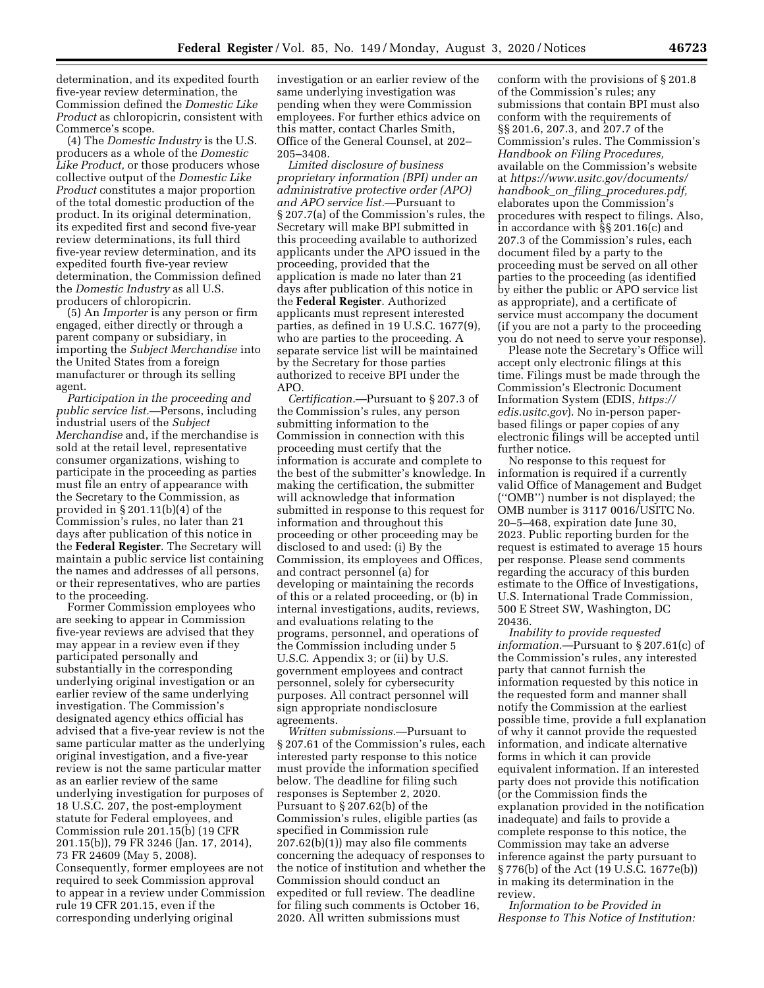determination, and its expedited fourth five-year review determination, the Commission defined the *Domestic Like Product* as chloropicrin, consistent with Commerce's scope.

(4) The *Domestic Industry* is the U.S. producers as a whole of the *Domestic Like Product,* or those producers whose collective output of the *Domestic Like Product* constitutes a major proportion of the total domestic production of the product. In its original determination, its expedited first and second five-year review determinations, its full third five-year review determination, and its expedited fourth five-year review determination, the Commission defined the *Domestic Industry* as all U.S. producers of chloropicrin.

(5) An *Importer* is any person or firm engaged, either directly or through a parent company or subsidiary, in importing the *Subject Merchandise* into the United States from a foreign manufacturer or through its selling agent.

*Participation in the proceeding and public service list.*—Persons, including industrial users of the *Subject Merchandise* and, if the merchandise is sold at the retail level, representative consumer organizations, wishing to participate in the proceeding as parties must file an entry of appearance with the Secretary to the Commission, as provided in § 201.11(b)(4) of the Commission's rules, no later than 21 days after publication of this notice in the **Federal Register**. The Secretary will maintain a public service list containing the names and addresses of all persons, or their representatives, who are parties to the proceeding.

Former Commission employees who are seeking to appear in Commission five-year reviews are advised that they may appear in a review even if they participated personally and substantially in the corresponding underlying original investigation or an earlier review of the same underlying investigation. The Commission's designated agency ethics official has advised that a five-year review is not the same particular matter as the underlying original investigation, and a five-year review is not the same particular matter as an earlier review of the same underlying investigation for purposes of 18 U.S.C. 207, the post-employment statute for Federal employees, and Commission rule 201.15(b) (19 CFR 201.15(b)), 79 FR 3246 (Jan. 17, 2014), 73 FR 24609 (May 5, 2008). Consequently, former employees are not required to seek Commission approval to appear in a review under Commission rule 19 CFR 201.15, even if the corresponding underlying original

investigation or an earlier review of the same underlying investigation was pending when they were Commission employees. For further ethics advice on this matter, contact Charles Smith, Office of the General Counsel, at 202– 205–3408.

*Limited disclosure of business proprietary information (BPI) under an administrative protective order (APO) and APO service list.*—Pursuant to § 207.7(a) of the Commission's rules, the Secretary will make BPI submitted in this proceeding available to authorized applicants under the APO issued in the proceeding, provided that the application is made no later than 21 days after publication of this notice in the **Federal Register**. Authorized applicants must represent interested parties, as defined in 19 U.S.C. 1677(9), who are parties to the proceeding. A separate service list will be maintained by the Secretary for those parties authorized to receive BPI under the APO.

*Certification.*—Pursuant to § 207.3 of the Commission's rules, any person submitting information to the Commission in connection with this proceeding must certify that the information is accurate and complete to the best of the submitter's knowledge. In making the certification, the submitter will acknowledge that information submitted in response to this request for information and throughout this proceeding or other proceeding may be disclosed to and used: (i) By the Commission, its employees and Offices, and contract personnel (a) for developing or maintaining the records of this or a related proceeding, or (b) in internal investigations, audits, reviews, and evaluations relating to the programs, personnel, and operations of the Commission including under 5 U.S.C. Appendix 3; or (ii) by U.S. government employees and contract personnel, solely for cybersecurity purposes. All contract personnel will sign appropriate nondisclosure agreements.

*Written submissions.*—Pursuant to § 207.61 of the Commission's rules, each interested party response to this notice must provide the information specified below. The deadline for filing such responses is September 2, 2020. Pursuant to § 207.62(b) of the Commission's rules, eligible parties (as specified in Commission rule 207.62(b)(1)) may also file comments concerning the adequacy of responses to the notice of institution and whether the Commission should conduct an expedited or full review. The deadline for filing such comments is October 16, 2020. All written submissions must

conform with the provisions of § 201.8 of the Commission's rules; any submissions that contain BPI must also conform with the requirements of §§ 201.6, 207.3, and 207.7 of the Commission's rules. The Commission's *Handbook on Filing Procedures,*  available on the Commission's website at *[https://www.usitc.gov/documents/](https://www.usitc.gov/documents/handbook_on_filing_procedures.pdf) handbook*\_*on*\_*filing*\_*[procedures.pdf,](https://www.usitc.gov/documents/handbook_on_filing_procedures.pdf)*  elaborates upon the Commission's procedures with respect to filings. Also, in accordance with §§ 201.16(c) and 207.3 of the Commission's rules, each document filed by a party to the proceeding must be served on all other parties to the proceeding (as identified by either the public or APO service list as appropriate), and a certificate of service must accompany the document (if you are not a party to the proceeding you do not need to serve your response).

Please note the Secretary's Office will accept only electronic filings at this time. Filings must be made through the Commission's Electronic Document Information System (EDIS, *[https://](https://edis.usitc.gov) [edis.usitc.gov](https://edis.usitc.gov)*). No in-person paperbased filings or paper copies of any electronic filings will be accepted until further notice.

No response to this request for information is required if a currently valid Office of Management and Budget (''OMB'') number is not displayed; the OMB number is 3117 0016/USITC No. 20–5–468, expiration date June 30, 2023. Public reporting burden for the request is estimated to average 15 hours per response. Please send comments regarding the accuracy of this burden estimate to the Office of Investigations, U.S. International Trade Commission, 500 E Street SW, Washington, DC 20436.

*Inability to provide requested information.*—Pursuant to § 207.61(c) of the Commission's rules, any interested party that cannot furnish the information requested by this notice in the requested form and manner shall notify the Commission at the earliest possible time, provide a full explanation of why it cannot provide the requested information, and indicate alternative forms in which it can provide equivalent information. If an interested party does not provide this notification (or the Commission finds the explanation provided in the notification inadequate) and fails to provide a complete response to this notice, the Commission may take an adverse inference against the party pursuant to § 776(b) of the Act (19 U.S.C. 1677e(b)) in making its determination in the review.

*Information to be Provided in Response to This Notice of Institution:*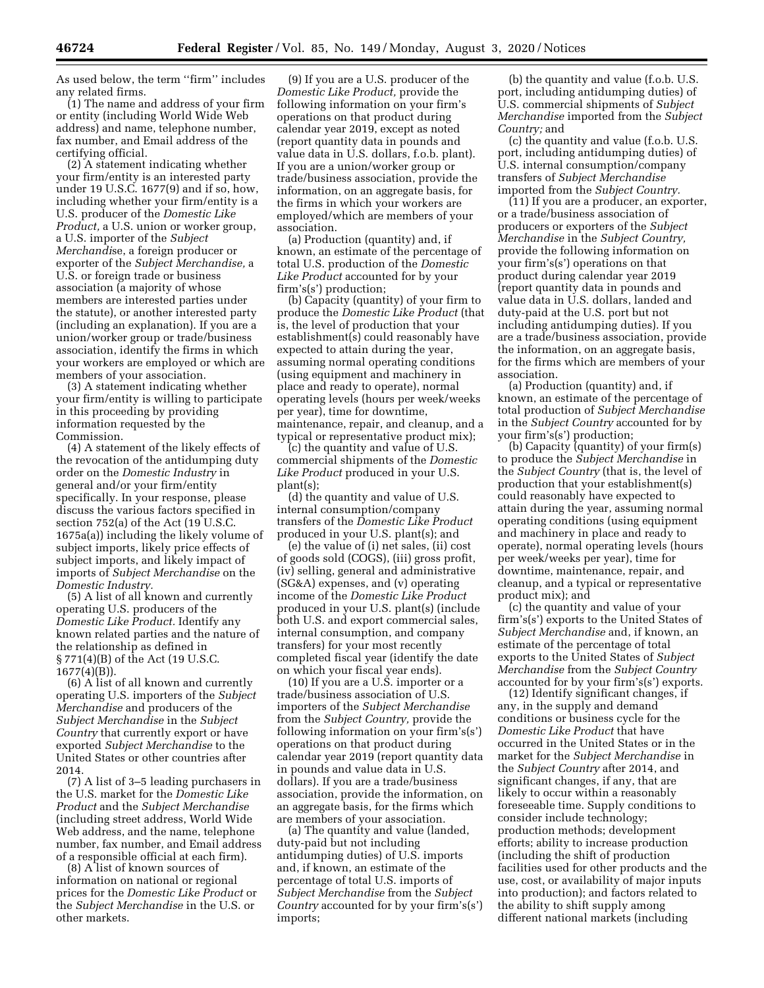As used below, the term ''firm'' includes any related firms.

(1) The name and address of your firm or entity (including World Wide Web address) and name, telephone number, fax number, and Email address of the certifying official.

(2) A statement indicating whether your firm/entity is an interested party under 19 U.S.C. 1677(9) and if so, how, including whether your firm/entity is a U.S. producer of the *Domestic Like Product,* a U.S. union or worker group, a U.S. importer of the *Subject Merchandi*se, a foreign producer or exporter of the *Subject Merchandise,* a U.S. or foreign trade or business association (a majority of whose members are interested parties under the statute), or another interested party (including an explanation). If you are a union/worker group or trade/business association, identify the firms in which your workers are employed or which are members of your association.

(3) A statement indicating whether your firm/entity is willing to participate in this proceeding by providing information requested by the Commission.

(4) A statement of the likely effects of the revocation of the antidumping duty order on the *Domestic Industry* in general and/or your firm/entity specifically. In your response, please discuss the various factors specified in section 752(a) of the Act (19 U.S.C. 1675a(a)) including the likely volume of subject imports, likely price effects of subject imports, and likely impact of imports of *Subject Merchandise* on the *Domestic Industry.* 

(5) A list of all known and currently operating U.S. producers of the *Domestic Like Product.* Identify any known related parties and the nature of the relationship as defined in § 771(4)(B) of the Act (19 U.S.C. 1677(4)(B)).

(6) A list of all known and currently operating U.S. importers of the *Subject Merchandise* and producers of the *Subject Merchandise* in the *Subject Country* that currently export or have exported *Subject Merchandise* to the United States or other countries after 2014.

(7) A list of 3–5 leading purchasers in the U.S. market for the *Domestic Like Product* and the *Subject Merchandise*  (including street address, World Wide Web address, and the name, telephone number, fax number, and Email address of a responsible official at each firm).

(8) A list of known sources of information on national or regional prices for the *Domestic Like Product* or the *Subject Merchandise* in the U.S. or other markets.

(9) If you are a U.S. producer of the *Domestic Like Product,* provide the following information on your firm's operations on that product during calendar year 2019, except as noted (report quantity data in pounds and value data in U.S. dollars, f.o.b. plant). If you are a union/worker group or trade/business association, provide the information, on an aggregate basis, for the firms in which your workers are employed/which are members of your association.

(a) Production (quantity) and, if known, an estimate of the percentage of total U.S. production of the *Domestic Like Product* accounted for by your firm's(s') production;

(b) Capacity (quantity) of your firm to produce the *Domestic Like Product* (that is, the level of production that your establishment(s) could reasonably have expected to attain during the year, assuming normal operating conditions (using equipment and machinery in place and ready to operate), normal operating levels (hours per week/weeks per year), time for downtime, maintenance, repair, and cleanup, and a typical or representative product mix);

(c) the quantity and value of U.S. commercial shipments of the *Domestic Like Product* produced in your U.S. plant(s);

(d) the quantity and value of U.S. internal consumption/company transfers of the *Domestic Like Product*  produced in your U.S. plant(s); and

(e) the value of (i) net sales, (ii) cost of goods sold (COGS), (iii) gross profit, (iv) selling, general and administrative (SG&A) expenses, and (v) operating income of the *Domestic Like Product*  produced in your U.S. plant(s) (include both U.S. and export commercial sales, internal consumption, and company transfers) for your most recently completed fiscal year (identify the date on which your fiscal year ends).

(10) If you are a U.S. importer or a trade/business association of U.S. importers of the *Subject Merchandise*  from the *Subject Country,* provide the following information on your firm's(s') operations on that product during calendar year 2019 (report quantity data in pounds and value data in U.S. dollars). If you are a trade/business association, provide the information, on an aggregate basis, for the firms which are members of your association.

(a) The quantity and value (landed, duty-paid but not including antidumping duties) of U.S. imports and, if known, an estimate of the percentage of total U.S. imports of *Subject Merchandise* from the *Subject Country* accounted for by your firm's(s') imports;

(b) the quantity and value (f.o.b. U.S. port, including antidumping duties) of U.S. commercial shipments of *Subject Merchandise* imported from the *Subject Country;* and

(c) the quantity and value (f.o.b. U.S. port, including antidumping duties) of U.S. internal consumption/company transfers of *Subject Merchandise*  imported from the *Subject Country.* 

(11) If you are a producer, an exporter, or a trade/business association of producers or exporters of the *Subject Merchandise* in the *Subject Country,*  provide the following information on your firm's(s') operations on that product during calendar year 2019 (report quantity data in pounds and value data in U.S. dollars, landed and duty-paid at the U.S. port but not including antidumping duties). If you are a trade/business association, provide the information, on an aggregate basis, for the firms which are members of your association.

(a) Production (quantity) and, if known, an estimate of the percentage of total production of *Subject Merchandise*  in the *Subject Country* accounted for by your firm's(s') production;

(b) Capacity (quantity) of your firm(s) to produce the *Subject Merchandise* in the *Subject Country* (that is, the level of production that your establishment(s) could reasonably have expected to attain during the year, assuming normal operating conditions (using equipment and machinery in place and ready to operate), normal operating levels (hours per week/weeks per year), time for downtime, maintenance, repair, and cleanup, and a typical or representative product mix); and

(c) the quantity and value of your firm's(s') exports to the United States of *Subject Merchandise* and, if known, an estimate of the percentage of total exports to the United States of *Subject Merchandise* from the *Subject Country*  accounted for by your firm's(s') exports.

(12) Identify significant changes, if any, in the supply and demand conditions or business cycle for the *Domestic Like Product* that have occurred in the United States or in the market for the *Subject Merchandise* in the *Subject Country* after 2014, and significant changes, if any, that are likely to occur within a reasonably foreseeable time. Supply conditions to consider include technology; production methods; development efforts; ability to increase production (including the shift of production facilities used for other products and the use, cost, or availability of major inputs into production); and factors related to the ability to shift supply among different national markets (including